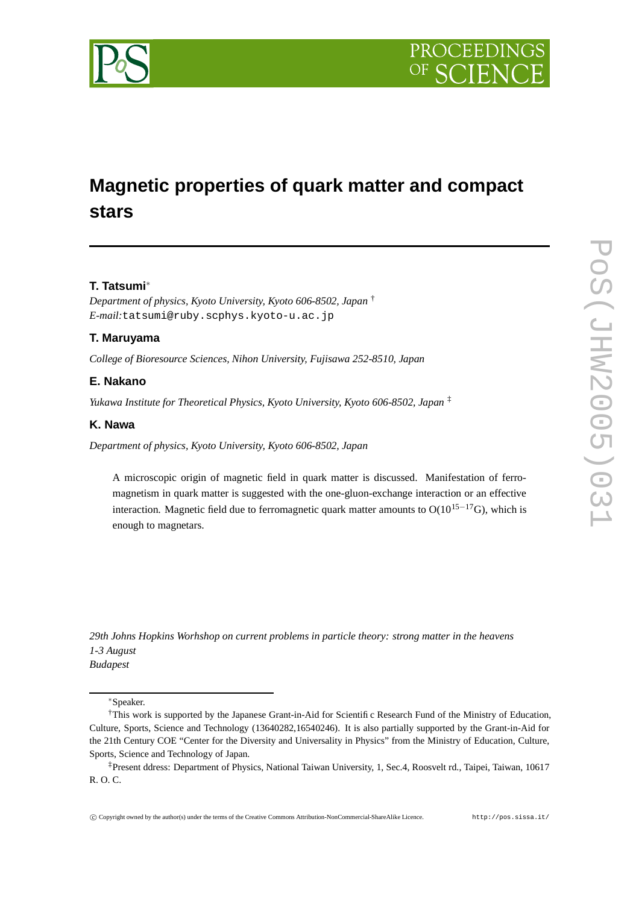

# **Magnetic properties of quark matter and compact stars**

## **T. Tatsumi**∗

*Department of physics, Kyoto University, Kyoto 606-8502, Japan* † *E-mail:*tatsumi@ruby.scphys.kyoto-u.ac.jp

## **T. Maruyama**

*College of Bioresource Sciences, Nihon University, Fujisawa 252-8510, Japan*

## **E. Nakano**

*Yukawa Institute for Theoretical Physics, Kyoto University, Kyoto 606-8502, Japan* ‡

## **K. Nawa**

*Department of physics, Kyoto University, Kyoto 606-8502, Japan*

A microscopic origin of magnetic field in quark matter is discussed. Manifestation of ferromagnetism in quark matter is suggested with the one-gluon-exchange interaction or an effective interaction. Magnetic field due to ferromagnetic quark matter amounts to  $O(10^{15-17}G)$ , which is enough to magnetars.

*29th Johns Hopkins Worhshop on current problems in particle theory: strong matter in the heavens 1-3 August Budapest*

∗Speaker.

<sup>†</sup>This work is supported by the Japanese Grant-in-Aid for Scientific Research Fund of the Ministry of Education, Culture, Sports, Science and Technology (13640282,16540246). It is also partially supported by the Grant-in-Aid for the 21th Century COE "Center for the Diversity and Universality in Physics" from the Ministry of Education, Culture, Sports, Science and Technology of Japan.

<sup>‡</sup>Present ddress: Department of Physics, National Taiwan University, 1, Sec.4, Roosvelt rd., Taipei, Taiwan, 10617 R. O. C.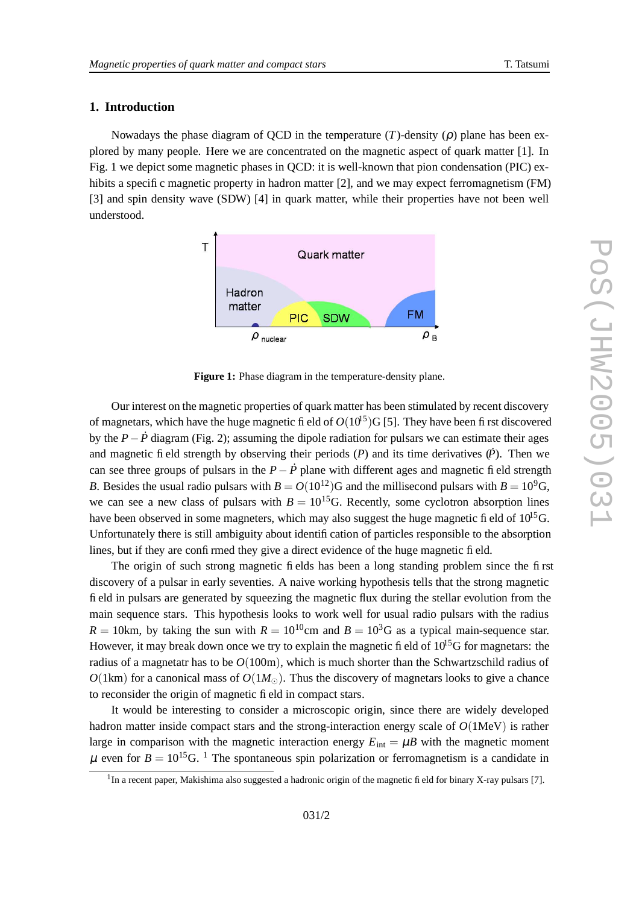## **1. Introduction**

Nowadays the phase diagram of QCD in the temperature  $(T)$ -density  $(\rho)$  plane has been explored by many people. Here we are concentrated on the magnetic aspect of quark matter [1]. In Fig. 1 we depict some magnetic phases in QCD: it is well-known that pion condensation (PIC) exhibits a specific magnetic property in hadron matter [2], and we may expect ferromagnetism (FM) [3] and spin density wave (SDW) [4] in quark matter, while their properties have not been well understood.



**Figur e 1:** Phase diagram in the temperature-density plane.

Our interest on the magnetic properties of quark matter has been stimulated by recent discovery of magnetars, which have the huge magnetic fi eld of  $O(10^5)G$  [5]. They have been first discovered by the  $P - \dot{P}$  diagram (Fig. 2); assuming the dipole radiation for pulsars we can estimate their ages and magnetic field strength by observing their periods  $(P)$  and its time derivatives  $(P)$ . Then we can see three groups of pulsars in the  $P - \dot{P}$  plane with different ages and magnetic field strength *B*. Besides the usual radio pulsars with  $B = O(10^{12})$ G and the millisecond pulsars with  $B = 10^{9}$ G, we can see a new class of pulsars with  $B = 10^{15}$ G. Recently, some cyclotron absorption lines have been observed in some magneters, which may also suggest the huge magnetic fi eld of  $10^{15}$ G. Unfortunately there is still ambiguity about identification of particles responsible to the absorption lines, but if they are confirmed they give a direct evidence of the huge magnetic field.

The origin of such stron g magnetic fields has bee n a long standing problem sinc e the first discovery of a pulsar in early seventies. A naive working hypothesis tells that the strong magnetic fi eld in pulsars are generated by squeezing the magnetic flux during the stellar evolution from the main sequence stars. This hypothesis looks to work well for usual radio pulsars with the radius  $R = 10$ km, by taking the sun with  $R = 10^{10}$ cm and  $B = 10^{3}$ G as a typical main-sequence star. However, it may break down once we try to explain the magnetic fi eld of  $10^{15}$ G for magnetars: the radius of a magnetatr has to be  $O(100\text{m})$ , which is much shorter than the Schwartzschild radius of  $O(1 \text{km})$  for a canonical mass of  $O(1 M_{\odot})$ . Thus the discovery of magnetars looks to give a chance to reconsider the origin of magnetic field in compact stars .

It would be interesting to consider a microscopic origin, since there are widely developed hadron matter inside compact stars and the strong-interaction energy scale of  $O(1$ MeV) is rather large in comparison with the magnetic interaction energy  $E_{int} = \mu B$  with the magnetic moment  $\mu$  even for  $B = 10^{15}$ G. <sup>1</sup> The spontaneous spin polarization or ferromagnetism is a candidate in

<sup>&</sup>lt;sup>1</sup>In a recent paper, Makishima also suggested a hadronic origin of the magnetic field for binary X-ray pulsars [7].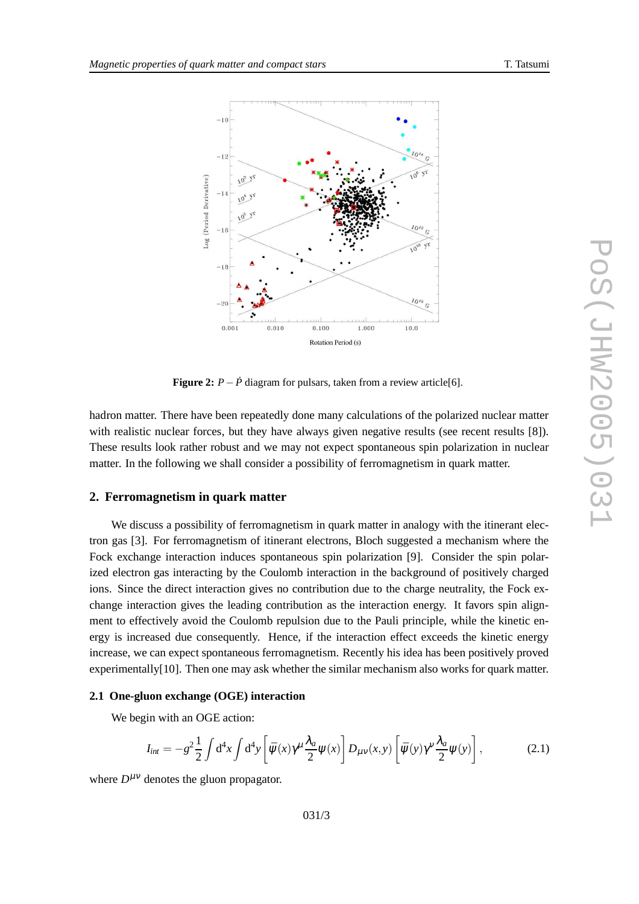



**Figure 2:**  $P - \dot{P}$  diagram for pulsars, taken from a review article[6].

hadron matter. There have been repeatedly done many calculations of the polarized nuclear matter with realistic nuclear forces, but they have always given negative results (see recent results [8]). These results look rathe r robust and we may not expect spontaneou s spin polarization in nuclear matter . In the following we shall consider a possibility of ferromagnetism in quark matter .

## **2. Ferromagnetism in quark matter**

We discuss a possibility of ferromagnetism in quark matter in analogy with the itinerant electron gas [3]. For ferromagnetism of itinerant electrons, Bloch suggested a mechanism where the Fock exchange interaction induces spontaneous spin polarization [9]. Consider the spin polarized electron gas interacting by the Coulomb interaction in the background of positively charged ions. Since the direct interaction gives no contribution due to the charge neutrality, the Fock exchange interaction gives the leading contribution as the interaction energy. It favors spin alignment to effectively avoid the Coulomb repulsion due to the Pauli principle, while the kinetic energy is increased due consequently. Hence, if the interaction effect exceeds the kinetic energy increase, we can expect spontaneous ferromagnetism. Recently his idea has been positively proved experimentally[10]. Then one may ask whether the similar mechanism also works for quark matter.

#### **2.1 One-gluon exchange (OGE) interaction**

We begin with an OGE action:

$$
I_{int} = -g^2 \frac{1}{2} \int d^4x \int d^4y \left[ \bar{\psi}(x) \gamma^\mu \frac{\lambda_a}{2} \psi(x) \right] D_{\mu\nu}(x, y) \left[ \bar{\psi}(y) \gamma^\nu \frac{\lambda_a}{2} \psi(y) \right], \tag{2.1}
$$

where  $D^{\mu\nu}$  denotes the gluon propagator.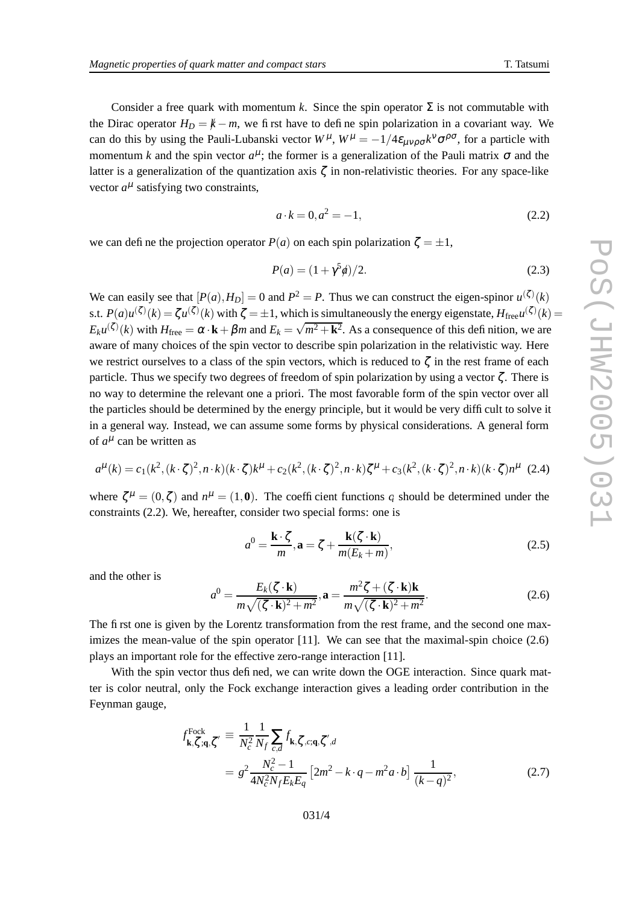Consider a free quark with momentum k. Since the spin operator  $\Sigma$  is not commutable with the Dirac operator  $H_D = \cancel{k} - m$ , we first have to define spin polarization in a covariant way. We can do this by using the Pauli-Lubanski vector  $W^{\mu}$ ,  $W^{\mu} = -1/4\varepsilon_{\mu\nu\rho\sigma}k^{\nu}\sigma^{\rho\sigma}$ , for a particle with momentum k and the spin vector  $a^{\mu}$ ; the former is a generalization of the Pauli matrix  $\sigma$  and the latter is a generalization of the quantization axis  $\zeta$  in non-relativistic theories. For any space-like vector  $a^{\mu}$  satisfying two constraints,

$$
a \cdot k = 0, a^2 = -1,\tag{2.2}
$$

we can define the projection operator  $P(a)$  on each spin polarization  $\zeta = \pm 1$ ,

$$
P(a) = (1 + \gamma^5 \phi)/2.
$$
 (2.3)

We can easily see that  $[P(a), H_D] = 0$  and  $P^2 = P$ . Thus we can construct the eigen-spinor  $u^{(\zeta)}(k)$ s.t.  $P(a)u^{(\zeta)}(k) = \zeta u^{(\zeta)}(k)$  with  $\zeta = \pm 1$ , which is simultaneously the energy eigenstate,  $H_{\text{free}}u^{(\zeta)}(k) =$  $E_k u^{(\zeta)}(k)$  with  $H_{\text{free}} = \alpha \cdot k + \beta m$  and  $E_k = \sqrt{m^2 + k^2}$ . As a consequence of this definition, we are a ware of man y choices of the spin vector to describe spin polarization in the relativistic way . Here we restrict ourselves to a class of the spin vectors, which is reduced to  $\zeta$  in the rest frame of each particle. Thus we specify two degrees of freedom of spin polarization by using a vector  $\zeta$ . There is no way to determine the relevant one a priori. The most favorable form of the spin vector over all the particles should be determined by the energy principle, but it would be very difficult to solve it in a genera l way . Instead, we can assume some forms by physical considerations. A general form of  $a^{\mu}$  can be written as

$$
a^{\mu}(k) = c_1(k^2, (k \cdot \zeta)^2, n \cdot k)(k \cdot \zeta)k^{\mu} + c_2(k^2, (k \cdot \zeta)^2, n \cdot k)\zeta^{\mu} + c_3(k^2, (k \cdot \zeta)^2, n \cdot k)(k \cdot \zeta)n^{\mu}
$$
 (2.4)

where  $\zeta^{\mu} = (0, \zeta)$  and  $n^{\mu} = (1, 0)$ . The coefficient functions  $q$  should be determined under the constraints (2.2). We, hereafter , consider tw o special forms : one is

$$
a^{0} = \frac{\mathbf{k} \cdot \zeta}{m}, \mathbf{a} = \zeta + \frac{\mathbf{k}(\zeta \cdot \mathbf{k})}{m(E_{k} + m)},
$$
\n(2.5)

and the othe r is

$$
a^{0} = \frac{E_{k}(\zeta \cdot \mathbf{k})}{m\sqrt{(\zeta \cdot \mathbf{k})^{2} + m^{2}}}, \mathbf{a} = \frac{m^{2}\zeta + (\zeta \cdot \mathbf{k})\mathbf{k}}{m\sqrt{(\zeta \cdot \mathbf{k})^{2} + m^{2}}}.
$$
(2.6)

The first one is given by the Lorentz transformation from the rest frame, and the second one maximizes the mean-value of the spin operator  $[11]$ . We can see that the maximal-spin choice  $(2.6)$ plays an important role for the effective zero-range interaction [11].

With the spin vector thus defined, we can write down the OGE interaction. Since quark matter is color neutral, only the Fock exchange interaction gives a leading order contribution in the Feynman gauge ,

$$
f_{\mathbf{k},\zeta,\mathbf{q},\zeta'}^{\text{Fock}} \equiv \frac{1}{N_c^2} \frac{1}{N_f} \sum_{c,d} f_{\mathbf{k},\zeta,c,\mathbf{q},\zeta',d}
$$
  
=  $g^2 \frac{N_c^2 - 1}{4N_c^2 N_f E_k E_q} \left[ 2m^2 - k \cdot q - m^2 a \cdot b \right] \frac{1}{(k-q)^2},$  (2.7)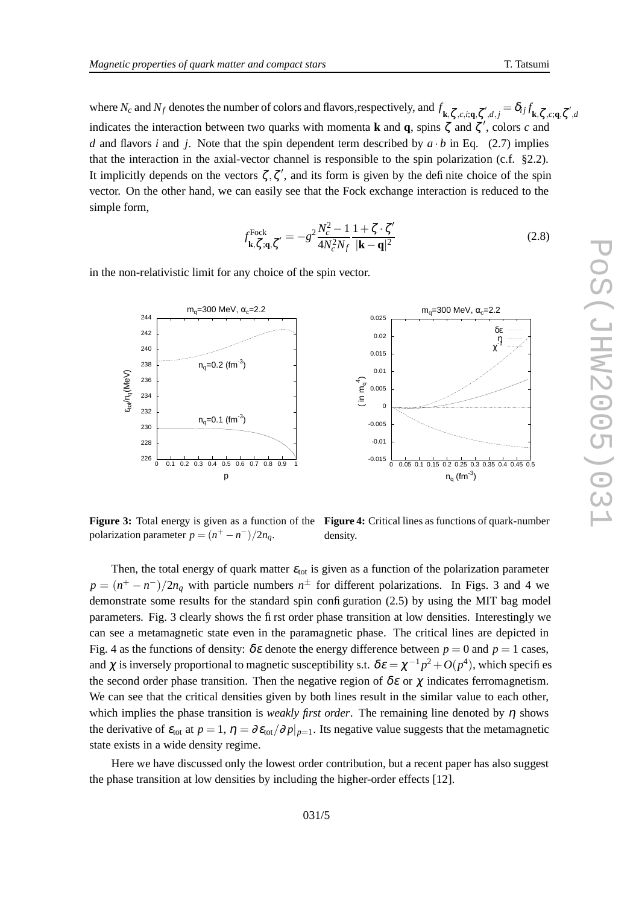where  $N_c$  and  $N_f$  denotes the number of colors and flavors, respectively, and  $f_{\mathbf{k},\zeta,c,i,\mathbf{q},\zeta',d,j} = \delta_{ij} f_{\mathbf{k},\zeta,c,\mathbf{q},\zeta',d}$ indicates the interaction between two quarks with momenta **k** and **q**, spins  $\zeta$  and  $\zeta'$ , colors c and *d* and flavors *i* and *j*. Note that the spin dependent term described by  $a \cdot b$  in Eq. (2.7) implies tha t the interaction in the axial-vector channel is responsible to the spin polarizatio n (c.f. §2.2). It implicitly depends on the vectors  $\zeta, \zeta'$ , and its form is given by the definite choice of the spin vector . On the othe r hand , we can easil y see that the Fock exchange interaction is reduced to the simpl e form,

$$
f_{\mathbf{k},\zeta,\mathbf{q},\zeta'}^{\text{Fock}} = -g^2 \frac{N_c^2 - 1}{4N_c^2 N_f} \frac{1 + \zeta \cdot \zeta'}{|\mathbf{k} - \mathbf{q}|^2}
$$
(2.8)

m<sub>q</sub>=300 MeV,  $\alpha_c$ =2.2

0.02 0.025

in the non-relativistic limit for any choice of the spin vector.

m<sub>q</sub>=300 MeV,  $\alpha_c$ =2.2

242 244

226 228 230 232 234 236 238 240 0 0.1 0.2 0.3 0.4 0.5 0.6 0.7 0.8 0.9 1 ε<sub>tot</sub>/n<sub>q</sub>(MeV) p  $n_q = 0.2$  (fm<sup>-3</sup>)  $n_q = 0.1$  (fm<sup>-3</sup>) -0.015 -0.01 0<br>-0.005 0.005 0.01 0.015 0 0.05 0.1 0.15 0.2 0.25 0.3 0.35 0.4 0.45 0.5 ( in  $m_q^4$ )  $n_q$  (fm<sup>-3</sup>) δε<br>η<br>χ

**Figure 3:** Total energy is given as a function of the Figure 4: Critical lines as functions of quark-number polarization parameter  $p = (n^+ - n^-)/2n_q$ . density .

Then, the total energy of quark matter  $\varepsilon_{\text{tot}}$  is given as a function of the polarization parameter  $p = (n^+ - n^-)/2n_q$  with particle numbers  $n^{\pm}$  for different polarizations. In Figs. 3 and 4 we demonstrate some results for the standard spin configuration (2.5) by using the MIT bag model parameters. Fig. 3 clearly shows the first order phase transition at low densities. Interestingly we can see a metamagnetic stat e e ven in the paramagnetic phase . The critical lines are depicted in Fig. 4 as the functions of density:  $\delta \varepsilon$  denote the energy difference between  $p = 0$  and  $p = 1$  cases, and  $\chi$  is inversely proportional to magnetic susceptibility s.t.  $\delta \varepsilon = \chi^{-1} p^2 + O(p^4)$ , which specifies the second order phase transition. Then the negative region of  $\delta \varepsilon$  or  $\chi$  indicates ferromagnetism. We can see that the critical densities given by both lines result in the similar value to each other, which implies the phase transition is *weakly first order*. The remaining line denoted by η shows the derivative of  $\varepsilon_{\text{tot}}$  at  $p=1$ ,  $\eta = \partial \varepsilon_{\text{tot}}/\partial p|_{p=1}$ . Its negative value suggests that the metamagnetic stat e exists in a wide density regime.

Here we have discussed only the lowest order contribution, but a recent paper has also suggest the phase transition at lo w densities by including the higher-order effects [12].

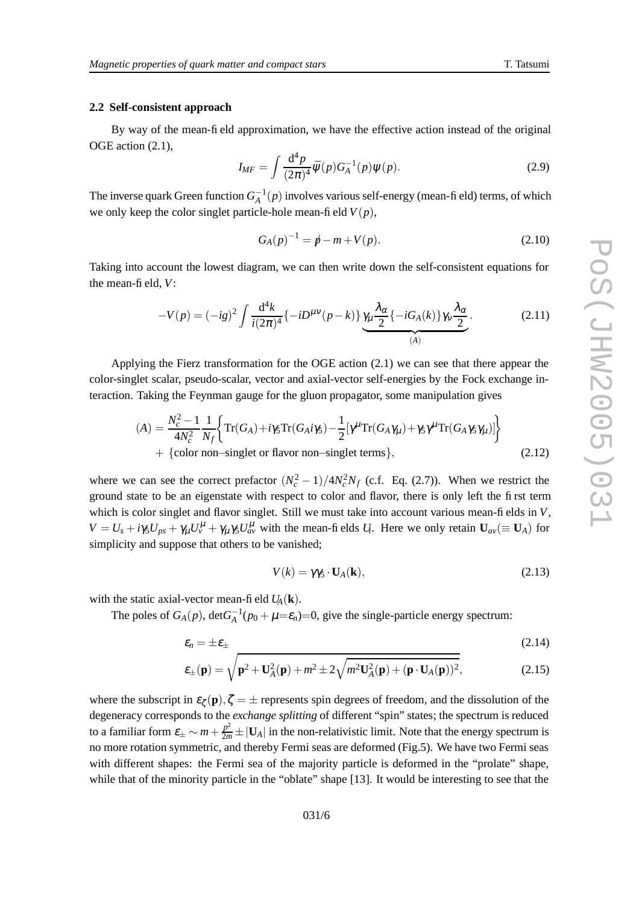#### **2.2 Self-consistent approac h**

By way of the mean-field approximation, we have the effective action instead of the original OGE actio n (2.1),

$$
I_{MF} = \int \frac{\mathrm{d}^4 p}{(2\pi)^4} \bar{\Psi}(p) G_A^{-1}(p) \Psi(p). \tag{2.9}
$$

The inverse quark Green function  $G_A^{-1}(p)$  involves various self-energy (mean-field) terms, of which we only keep the color singlet particle-hole mean-field  $V(p)$ ,

$$
G_A(p)^{-1} = p - m + V(p). \tag{2.10}
$$

Taking into account the lowest diagram, we can then write down the self-consistent equations for the mean-field, *V* :

$$
-V(p) = (-ig)^2 \int \frac{\mathrm{d}^4 k}{i(2\pi)^4} \{-iD^{\mu\nu}(p-k)\} \underbrace{\gamma_\mu \frac{\lambda_\alpha}{2} \{-iG_A(k)\} \gamma_\nu \frac{\lambda_\alpha}{2}}_{(A)}.
$$
 (2.11)

Applying the Fierz transformation for the OGE action (2.1) we can see that there appear the color-singlet scalar, pseudo-scalar, vector and axial-vector self-energies by the Fock exchange interaction. Taking the Feynman gauge for the gluon propagator, some manipulation gives

$$
(A) = \frac{N_c^2 - 1}{4N_c^2} \frac{1}{N_f} \Biggl\{ \text{Tr}(G_A) + i\gamma_5 \text{Tr}(G_A i\gamma_5) - \frac{1}{2} [\gamma^\mu \text{Tr}(G_A \gamma_\mu) + \gamma_5 \gamma^\mu \text{Tr}(G_A \gamma_5 \gamma_\mu)] \Biggr\} + \{ \text{color non–singlet or flavor non–singlet terms} \}, \tag{2.12}
$$

where we can see the correct prefactor  $(N_c^2 - 1)/4N_c^2N_f$  (c.f. Eq. (2.7)). When we restrict the ground state to be an eigenstate with respect to color and flavor, there is only left the first term which is color singlet and flavor singlet. Still we must take into account various mean-fields in V,  $V = U_s + i\gamma_5 U_{ps} + \gamma_\mu U_v^{\mu} + \gamma_\mu \gamma_5 U_{av}^{\mu}$  with the mean-fields  $U_i$ . Here we only retain  $U_{av} (\equiv U_A)$  for simplicity and suppose that others to be vanished;

$$
V(k) = \gamma \gamma_5 \cdot \mathbf{U}_A(\mathbf{k}),\tag{2.13}
$$

with the static axial-vector mean-field  $U_A(\mathbf{k})$ .

The poles of  $G_A(p)$ ,  $\det G_A^{-1}(p_0 + \mu = \varepsilon_n) = 0$ , give the single-particle energy spectrum:

$$
\varepsilon_n = \pm \varepsilon_\pm \tag{2.14}
$$

$$
\varepsilon_{\pm}(\mathbf{p}) = \sqrt{\mathbf{p}^2 + \mathbf{U}_A^2(\mathbf{p}) + m^2 \pm 2\sqrt{m^2 \mathbf{U}_A^2(\mathbf{p}) + (\mathbf{p} \cdot \mathbf{U}_A(\mathbf{p}))^2}},\tag{2.15}
$$

where the subscript in  $\varepsilon_{\zeta}(\mathbf{p}), \zeta = \pm$  represents spin degrees of freedom, and the dissolution of the degeneracy corresponds to the *exchange splitting* of different "spin" states; the spectrum is reduced to a familiar form  $\varepsilon_{\pm} \sim m + \frac{p^2}{2m}$  $\frac{p^2}{2m} \pm |\mathbf{U}_A|$  in the non-relativistic limit. Note that the energy spectrum is no more rotation symmetric, and thereb y Fermi seas are deformed (Fig.5). We hav e tw o Fermi seas with different shapes: the Fermi sea of the majority particle is deformed in the "prolate" shape, while that of the minority particle in the "oblate" shape [13]. It would be interesting to see that the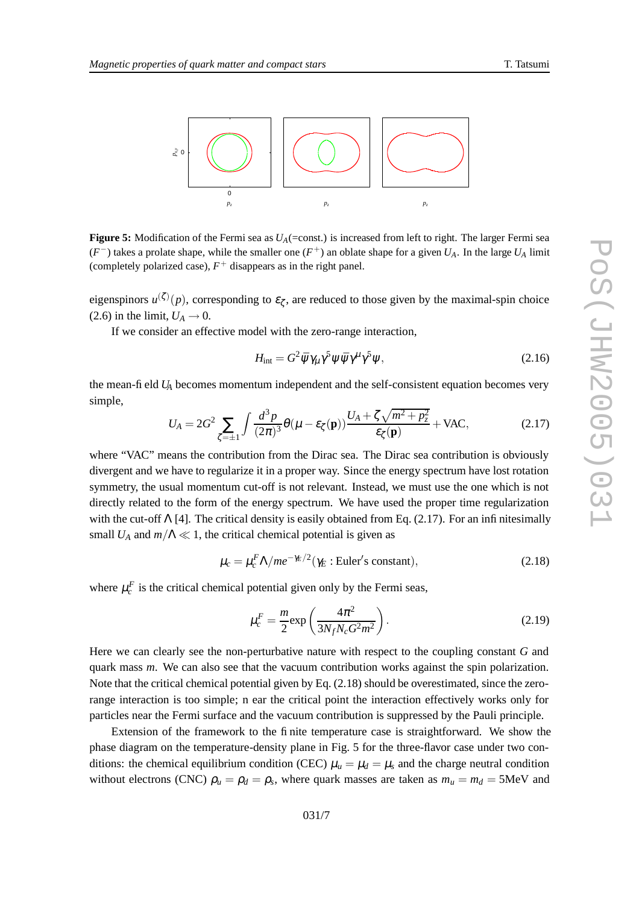

**Figure 5:** Modification of the Fermi sea as  $U_A$ (=const.) is increased from left to right. The larger Fermi sea  $(F^-)$  takes a prolate shape, while the smaller one  $(F^+)$  an oblate shape for a given  $U_A$ . In the large  $U_A$  limit (completely polarized case),  $F^+$  disappears as in the right panel.

eigenspinors  $u^{(\zeta)}(p)$ , corresponding to  $\varepsilon_{\zeta}$ , are reduced to those given by the maximal-spin choice  $(2.6)$  in the limit,  $U_A \rightarrow 0$ .

If we consider an effective model with the zero-range interaction,

$$
H_{\rm int} = G^2 \bar{\psi} \gamma_\mu \gamma^5 \psi \bar{\psi} \gamma^\mu \gamma^5 \psi, \qquad (2.16)
$$

the mean-field *U<sup>A</sup>* becomes momentum independent and the self-consistent equation becomes very simple,

$$
U_A = 2G^2 \sum_{\zeta = \pm 1} \int \frac{d^3 p}{(2\pi)^3} \theta(\mu - \varepsilon_{\zeta}(\mathbf{p})) \frac{U_A + \zeta \sqrt{m^2 + p_z^2}}{\varepsilon_{\zeta}(\mathbf{p})} + \text{VAC},\tag{2.17}
$$

where "VAC" means the contribution from the Dirac sea. The Dirac sea contribution is obviously divergent and we have to regularize it in a proper way. Since the energy spectrum have lost rotation symmetry, the usual momentum cut-off is not relevant. Instead, we must use the one which is not directly related to the form of the energy spectrum. We have used the proper time regularization with the cut-off  $\Lambda$  [4]. The critical density is easily obtained from Eq. (2.17). For an infinitesimally small  $U_A$  and  $m/\Lambda \ll 1$ , the critical chemical potential is given as

$$
\mu_c = \mu_c^F \Lambda / m e^{-\gamma_E/2} (\gamma_E : \text{Euler's constant}), \tag{2.18}
$$

where  $\mu_c^F$  is the critical chemical potential given only by the Fermi seas,

$$
\mu_c^F = \frac{m}{2} \exp\left(\frac{4\pi^2}{3N_f N_c G^2 m^2}\right). \tag{2.19}
$$

Here we can clearly see the non-perturbative nature with respect to the coupling constant G and quark mass *m*. We can also see that the vacuum contribution works against the spin polarization. Note that the critical chemical potential given by Eq. (2.18) should be overestimated, since the zerorange interaction is too simple; n ear the critical point the interaction effectively works only for particles near the Fermi surface and the vacuum contribution is suppressed by the Pauli principle.

Extension of the frame work to the finite temperature case is straightforward. We sho w the phase diagram on the temperature-density plane in Fig. 5 for the three-flavor case under two conditions: the chemical equilibrium condition (CEC)  $\mu_u = \mu_d = \mu_s$  and the charge neutral condition without electrons (CNC)  $\rho_u = \rho_d = \rho_s$ , where quark masses are taken as  $m_u = m_d = 5$ MeV and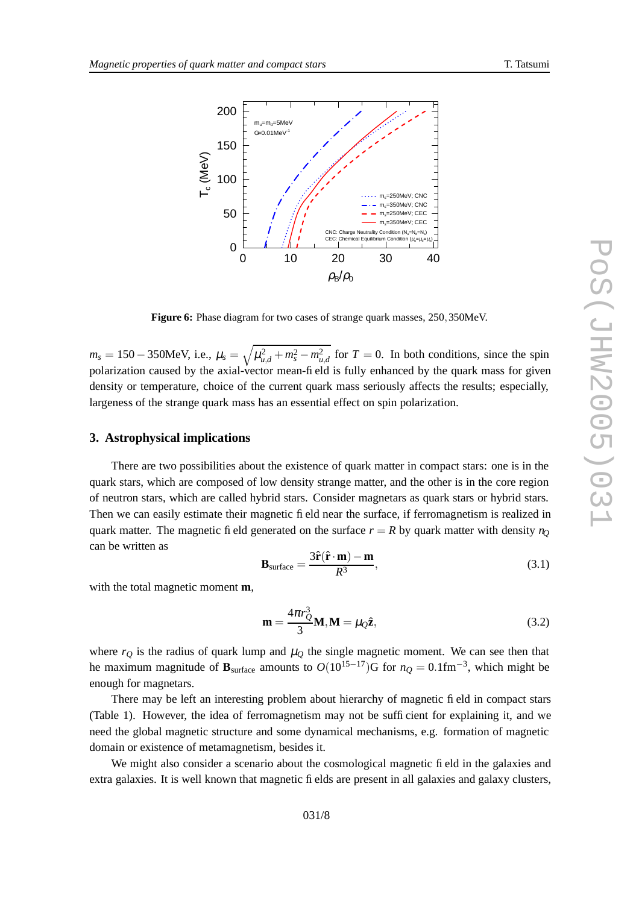

Figure 6: Phase diagram for two cases of strange quark masses, 250, 350MeV.

 $m_s = 150 - 350$ MeV, i.e.,  $\mu_s = \sqrt{\mu_{u,d}^2 + m_s^2 - m_{u,d}^2}$  for  $T = 0$ . In both conditions, since the spin polarization caused by the axial-vector mean-field is fully enhanced by the quark mass for given density or temperature, choice of the current quark mass seriously affects the results; especially, lar genes s of the strange quark mass has an essential effect on spin polarization.

#### **3. Astrophysical implications**

There are two possibilities about the existence of quark matter in compact stars: one is in the quark stars, which are composed of lo w density strang e matter , and the other is in the core regio n of neutron stars, which are calle d hybrid stars. Consider magnetars as quark stars or hybri d stars. Then we can easily estimate their magnetic field near the surface, if ferromagnetis m is realized in quark matter. The magnetic field generated on the surface  $r = R$  by quark matter with density  $n_Q$ can be written as

$$
\mathbf{B}_{\text{surface}} = \frac{3\hat{\mathbf{r}}(\hat{\mathbf{r}} \cdot \mathbf{m}) - \mathbf{m}}{R^3},\tag{3.1}
$$

with the total magnetic moment **m** ,

$$
\mathbf{m} = \frac{4\pi r_Q^3}{3} \mathbf{M}, \mathbf{M} = \mu_Q \hat{\mathbf{z}},
$$
 (3.2)

where  $r_Q$  is the radius of quark lump and  $\mu_Q$  the single magnetic moment. We can see then that he maximum magnitude of  $\mathbf{B}_{\text{surface}}$  amounts to  $O(10^{15-17})\text{G}$  for  $n_Q = 0.1 \text{fm}^{-3}$ , which might be enough for magnetars.

There may be left an interesting proble m about hierarchy of magnetic field in compact stars (Table 1). Howe ver , the idea of ferromagnetis m may not be sufficient for explaining it, and we nee d the global magnetic structure and some dynamical mechanisms, e.g. formatio n of magnetic domai n or existence of metamagnetism, besides it.

We might also consider a scenario about the cosmological magnetic fi eld in the galaxies and extra galaxies. It is well known that magnetic fi elds are present in all galaxies and galaxy clusters,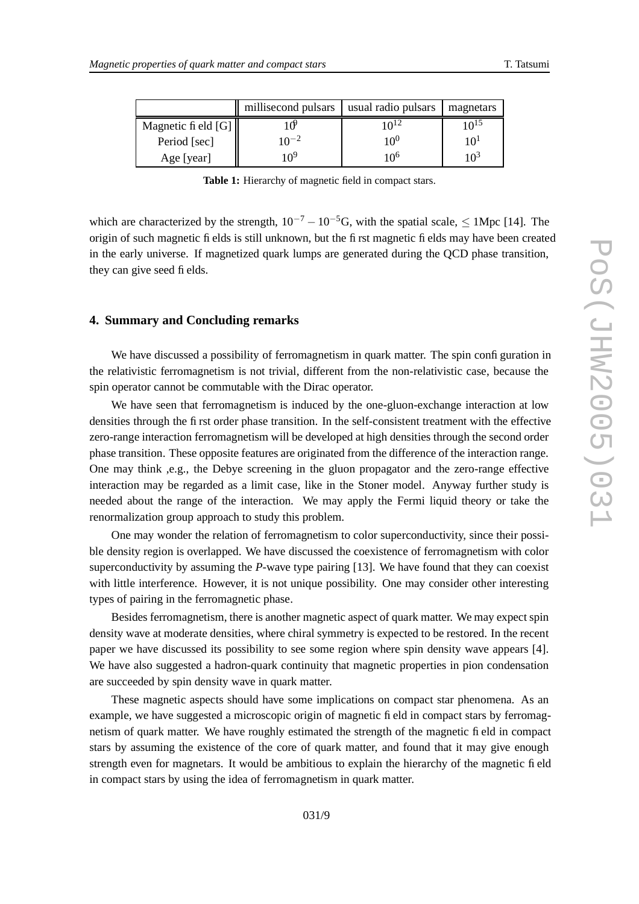|                       | millisecond pulsars | usual radio pulsars | magnetars |
|-----------------------|---------------------|---------------------|-----------|
| Magnetic fi eld $[G]$ |                     | 10 <sup>12</sup>    | $10^{15}$ |
| Period [sec]          | $10^{-2}$           | $10^{0}$            |           |
| Age [year]            | 109                 | 10 <sup>6</sup>     |           |

**Table 1:** Hierarch y of magnetic field in compact stars.

which are characterized by the strength,  $10^{-7} - 10^{-5}$ G, with the spatial scale,  $\leq 1$ Mpc [14]. The origin of such magnetic fields is still unkn own, but the first magnetic fields may hav e been create d in the early universe. If magnetized quark lumps are generated during the QCD phase transition, they can give seed fi elds.

## **4. Summary and Concluding remarks**

We have discussed a possibility of ferromagnetism in quark matter. The spin configuration in the relati vistic ferromagnetism is not trivial , different from the non-relati vistic case , because the spi n operator cannot be commutable with the Dirac operator .

We have seen that ferromagnetism is induced by the one-gluon-exchange interaction at low densities through the first order phase transition. In the self-consistent treatment with the effective zero-rang e interaction ferromagnetism will be de veloped at high densities throug h the second order phase transition . These opposite features are originated from the difference of the interaction range. One may think , e.g., the Debye screening in the gluon propagator and the zero-range effective interaction may be regarded as a limit case, like in the Stoner model. Anyway further study is needed about the range of the interaction. We may appl y the Fermi liquid theory or tak e the renormalization group approach to stud y this problem.

One may wonder the relation of ferromagnetism to color superconductivity, since their possible density region is overlapped. We have discussed the coexistence of ferromagnetism with color superconductivity by assuming the *P*-wave type pairing [13]. We have found that they can coexist with little interference. However, it is not unique possibility. One may consider other interesting types of pairin g in the ferromagneti c phase .

Besides ferromagnetism, there is another magnetic aspect of quark matter . We may expec t spin density wave at moderate densities, where chiral symmetry is expected to be restored. In the recent paper we hav e discussed its possibility to see some regio n where spin density w av e appears [4]. We hav e also suggested a hadron-quark continuity that magnetic properties in pion condensation are succeeded by spin density w av e in quark matter .

These magneti c aspects should hav e some implications on compac t star phenomena. As an example, we have suggested a microscopic origin of magnetic fi eld in compact stars by ferromagnetism of quar k matter . We hav e roughly estimated the strength of the magnetic field in compact stars by assuming the existence of the core of quark matter, and found that it may give enough strength even for magnetars. It would be ambitious to explain the hierarchy of the magnetic field in compac t stars by using the idea of ferromagnetis m in quark matter .